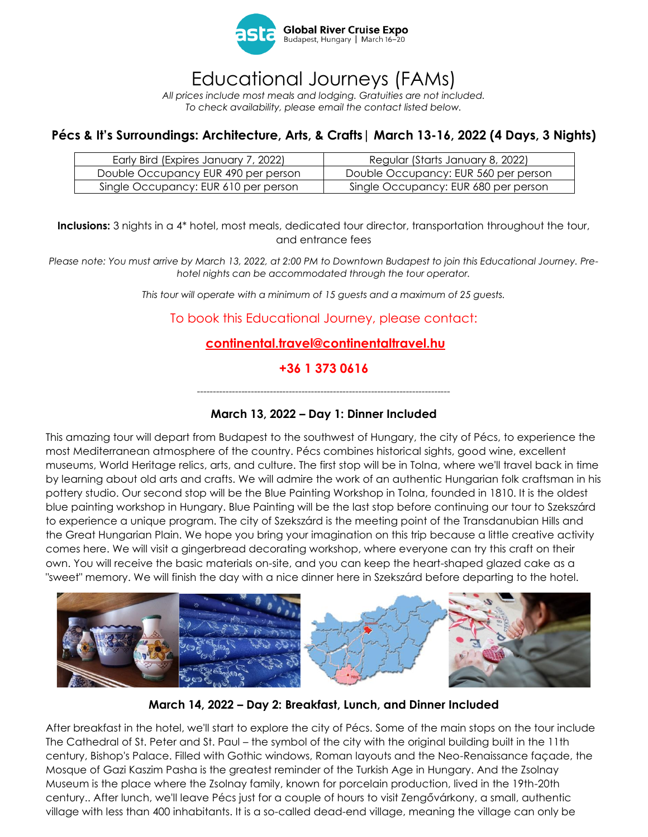

## Educational Journeys (FAMs)

*All prices include most meals and lodging. Gratuities are not included. To check availability, please email the contact listed below.*

### **Pécs & It's Surroundings: Architecture, Arts, & Crafts| March 13-16, 2022 (4 Days, 3 Nights)**

| Early Bird (Expires January 7, 2022) | Regular (Starts January 8, 2022)     |
|--------------------------------------|--------------------------------------|
| Double Occupancy EUR 490 per person  | Double Occupancy: EUR 560 per person |
| Single Occupancy: EUR 610 per person | Single Occupancy: EUR 680 per person |

**Inclusions:** 3 nights in a 4\* hotel, most meals, dedicated tour director, transportation throughout the tour, and entrance fees

*Please note: You must arrive by March 13, 2022, at 2:00 PM to Downtown Budapest to join this Educational Journey. Prehotel nights can be accommodated through the tour operator.* 

*This tour will operate with a minimum of 15 guests and a maximum of 25 guests.*

#### To book this Educational Journey, please contact:

#### **[continental.travel@continentaltravel.hu](mailto:continental.travel@continentaltravel.hu)**

#### **+36 1 373 0616**

*--------------------------------------------------------------------------------*

#### **March 13, 2022 – Day 1: Dinner Included**

This amazing tour will depart from Budapest to the southwest of Hungary, the city of Pécs, to experience the most Mediterranean atmosphere of the country. Pécs combines historical sights, good wine, excellent museums, World Heritage relics, arts, and culture. The first stop will be in Tolna, where we'll travel back in time by learning about old arts and crafts. We will admire the work of an authentic Hungarian folk craftsman in his pottery studio. Our second stop will be the Blue Painting Workshop in Tolna, founded in 1810. It is the oldest blue painting workshop in Hungary. Blue Painting will be the last stop before continuing our tour to Szekszárd to experience a unique program. The city of Szekszárd is the meeting point of the Transdanubian Hills and the Great Hungarian Plain. We hope you bring your imagination on this trip because a little creative activity comes here. We will visit a gingerbread decorating workshop, where everyone can try this craft on their own. You will receive the basic materials on-site, and you can keep the heart-shaped glazed cake as a "sweet" memory. We will finish the day with a nice dinner here in Szekszárd before departing to the hotel.



**March 14, 2022 – Day 2: Breakfast, Lunch, and Dinner Included**

After breakfast in the hotel, we'll start to explore the city of Pécs. Some of the main stops on the tour include The Cathedral of St. Peter and St. Paul – the symbol of the city with the original building built in the 11th century, Bishop's Palace. Filled with Gothic windows, Roman layouts and the Neo-Renaissance façade, the Mosque of Gazi Kaszim Pasha is the greatest reminder of the Turkish Age in Hungary. And the Zsolnay Museum is the place where the Zsolnay family, known for porcelain production, lived in the 19th-20th century.. After lunch, we'll leave Pécs just for a couple of hours to visit Zengővárkony, a small, authentic village with less than 400 inhabitants. It is a so-called dead-end village, meaning the village can only be